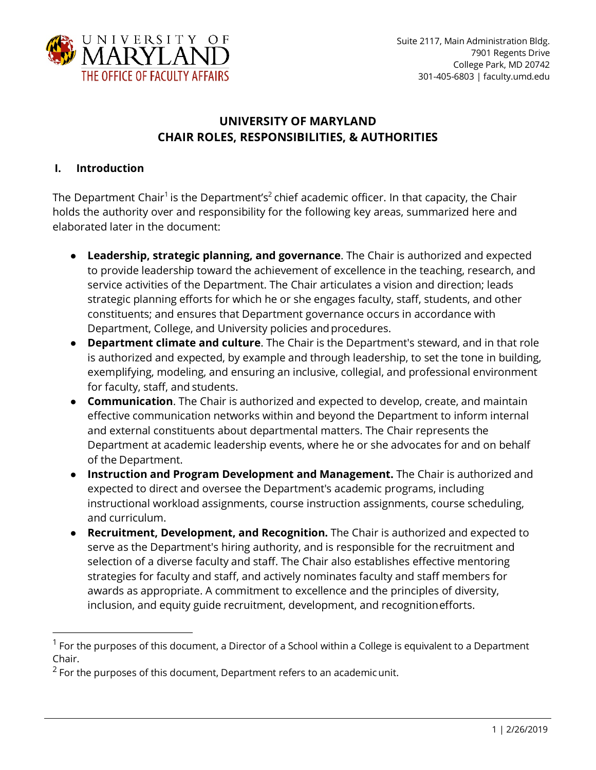

# **UNIVERSITY OF MARYLAND CHAIR ROLES, RESPONSIBILITIES, & AUTHORITIES**

#### **I. Introduction**

The Department Chair<sup>1</sup> is the Department's<sup>2</sup> chief academic officer. In that capacity, the Chair holds the authority over and responsibility for the following key areas, summarized here and elaborated later in the document:

- **Leadership, strategic planning, and governance**. The Chair is authorized and expected to provide leadership toward the achievement of excellence in the teaching, research, and service activities of the Department. The Chair articulates a vision and direction; leads strategic planning efforts for which he or she engages faculty, staff, students, and other constituents; and ensures that Department governance occurs in accordance with Department, College, and University policies and procedures.
- **Department climate and culture**. The Chair is the Department's steward, and in that role is authorized and expected, by example and through leadership, to set the tone in building, exemplifying, modeling, and ensuring an inclusive, collegial, and professional environment for faculty, staff, and students.
- **Communication**. The Chair is authorized and expected to develop, create, and maintain effective communication networks within and beyond the Department to inform internal and external constituents about departmental matters. The Chair represents the Department at academic leadership events, where he or she advocates for and on behalf of the Department.
- **Instruction and Program Development and Management.** The Chair is authorized and expected to direct and oversee the Department's academic programs, including instructional workload assignments, course instruction assignments, course scheduling, and curriculum.
- **Recruitment, Development, and Recognition.** The Chair is authorized and expected to serve as the Department's hiring authority, and is responsible for the recruitment and selection of a diverse faculty and staff. The Chair also establishes effective mentoring strategies for faculty and staff, and actively nominates faculty and staff members for awards as appropriate. A commitment to excellence and the principles of diversity, inclusion, and equity guide recruitment, development, and recognitionefforts.

 $1$  For the purposes of this document, a Director of a School within a College is equivalent to a Department Chair.

 $2$  For the purposes of this document, Department refers to an academic unit.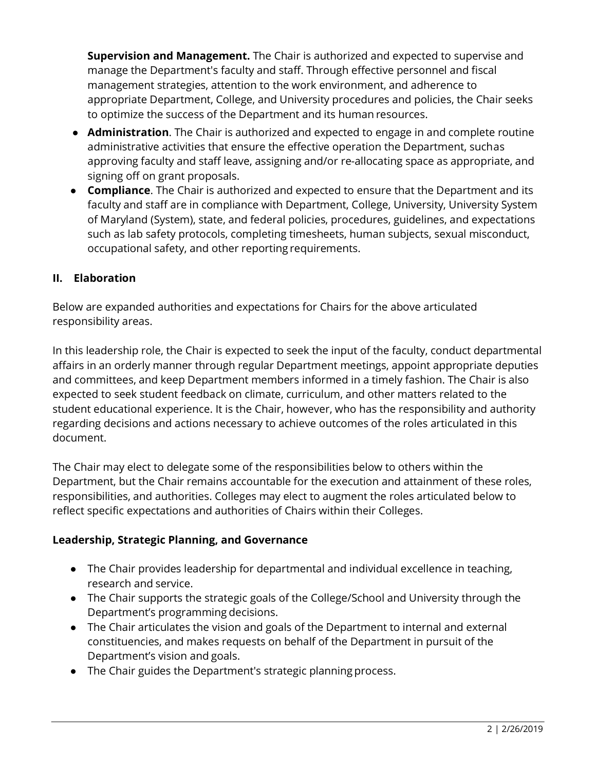**Supervision and Management.** The Chair is authorized and expected to supervise and manage the Department's faculty and staff. Through effective personnel and fiscal management strategies, attention to the work environment, and adherence to appropriate Department, College, and University procedures and policies, the Chair seeks to optimize the success of the Department and its human resources.

- **Administration**. The Chair is authorized and expected to engage in and complete routine administrative activities that ensure the effective operation the Department, suchas approving faculty and staff leave, assigning and/or re-allocating space as appropriate, and signing off on grant proposals.
- **Compliance**. The Chair is authorized and expected to ensure that the Department and its faculty and staff are in compliance with Department, College, University, University System of Maryland (System), state, and federal policies, procedures, guidelines, and expectations such as lab safety protocols, completing timesheets, human subjects, sexual misconduct, occupational safety, and other reporting requirements.

### **II. Elaboration**

Below are expanded authorities and expectations for Chairs for the above articulated responsibility areas.

In this leadership role, the Chair is expected to seek the input of the faculty, conduct departmental affairs in an orderly manner through regular Department meetings, appoint appropriate deputies and committees, and keep Department members informed in a timely fashion. The Chair is also expected to seek student feedback on climate, curriculum, and other matters related to the student educational experience. It is the Chair, however, who has the responsibility and authority regarding decisions and actions necessary to achieve outcomes of the roles articulated in this document.

The Chair may elect to delegate some of the responsibilities below to others within the Department, but the Chair remains accountable for the execution and attainment of these roles, responsibilities, and authorities. Colleges may elect to augment the roles articulated below to reflect specific expectations and authorities of Chairs within their Colleges.

#### **Leadership, Strategic Planning, and Governance**

- The Chair provides leadership for departmental and individual excellence in teaching, research and service.
- The Chair supports the strategic goals of the College/School and University through the Department's programming decisions.
- The Chair articulates the vision and goals of the Department to internal and external constituencies, and makes requests on behalf of the Department in pursuit of the Department's vision and goals.
- The Chair guides the Department's strategic planningprocess.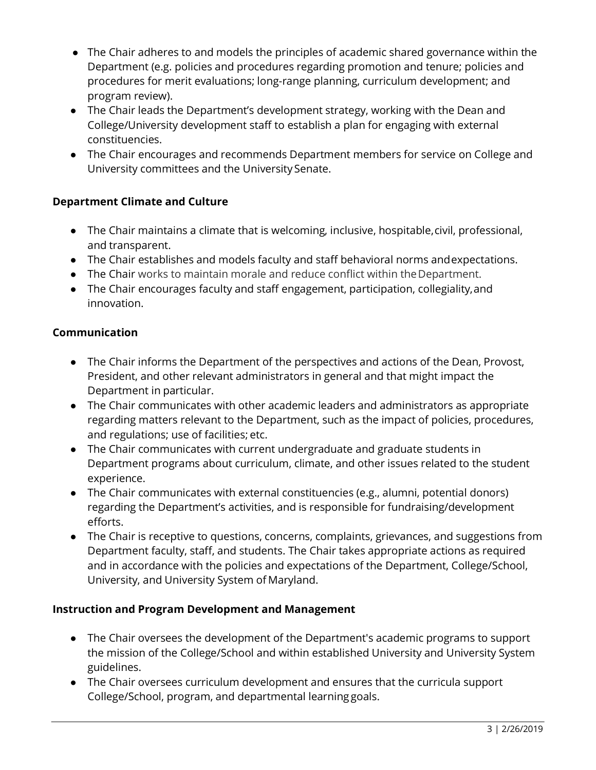- The Chair adheres to and models the principles of academic shared governance within the Department (e.g. policies and procedures regarding promotion and tenure; policies and procedures for merit evaluations; long-range planning, curriculum development; and program review).
- The Chair leads the Department's development strategy, working with the Dean and College/University development staff to establish a plan for engaging with external constituencies.
- The Chair encourages and recommends Department members for service on College and University committees and the University Senate.

## **Department Climate and Culture**

- The Chair maintains a climate that is welcoming, inclusive, hospitable,civil, professional, and transparent.
- The Chair establishes and models faculty and staff behavioral norms andexpectations.
- The Chair works to maintain morale and reduce conflict within theDepartment.
- The Chair encourages faculty and staff engagement, participation, collegiality,and innovation.

### **Communication**

- The Chair informs the Department of the perspectives and actions of the Dean, Provost, President, and other relevant administrators in general and that might impact the Department in particular.
- The Chair communicates with other academic leaders and administrators as appropriate regarding matters relevant to the Department, such as the impact of policies, procedures, and regulations; use of facilities; etc.
- The Chair communicates with current undergraduate and graduate students in Department programs about curriculum, climate, and other issues related to the student experience.
- The Chair communicates with external constituencies (e.g., alumni, potential donors) regarding the Department's activities, and is responsible for fundraising/development efforts.
- The Chair is receptive to questions, concerns, complaints, grievances, and suggestions from Department faculty, staff, and students. The Chair takes appropriate actions as required and in accordance with the policies and expectations of the Department, College/School, University, and University System of Maryland.

### **Instruction and Program Development and Management**

- The Chair oversees the development of the Department's academic programs to support the mission of the College/School and within established University and University System guidelines.
- The Chair oversees curriculum development and ensures that the curricula support College/School, program, and departmental learning goals.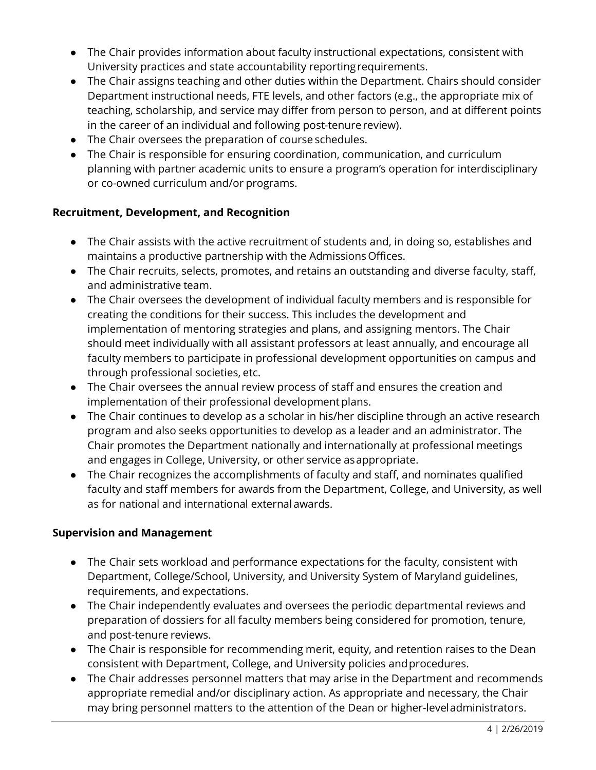- The Chair provides information about faculty instructional expectations, consistent with University practices and state accountability reportingrequirements.
- The Chair assigns teaching and other duties within the Department. Chairs should consider Department instructional needs, FTE levels, and other factors (e.g., the appropriate mix of teaching, scholarship, and service may differ from person to person, and at different points in the career of an individual and following post-tenurereview).
- The Chair oversees the preparation of course schedules.
- The Chair is responsible for ensuring coordination, communication, and curriculum planning with partner academic units to ensure a program's operation for interdisciplinary or co-owned curriculum and/or programs.

### **Recruitment, Development, and Recognition**

- The Chair assists with the active recruitment of students and, in doing so, establishes and maintains a productive partnership with the Admissions Offices.
- The Chair recruits, selects, promotes, and retains an outstanding and diverse faculty, staff, and administrative team.
- The Chair oversees the development of individual faculty members and is responsible for creating the conditions for their success. This includes the development and implementation of mentoring strategies and plans, and assigning mentors. The Chair should meet individually with all assistant professors at least annually, and encourage all faculty members to participate in professional development opportunities on campus and through professional societies, etc.
- The Chair oversees the annual review process of staff and ensures the creation and implementation of their professional development plans.
- The Chair continues to develop as a scholar in his/her discipline through an active research program and also seeks opportunities to develop as a leader and an administrator. The Chair promotes the Department nationally and internationally at professional meetings and engages in College, University, or other service asappropriate.
- The Chair recognizes the accomplishments of faculty and staff, and nominates qualified faculty and staff members for awards from the Department, College, and University, as well as for national and international externalawards.

### **Supervision and Management**

- The Chair sets workload and performance expectations for the faculty, consistent with Department, College/School, University, and University System of Maryland guidelines, requirements, and expectations.
- The Chair independently evaluates and oversees the periodic departmental reviews and preparation of dossiers for all faculty members being considered for promotion, tenure, and post-tenure reviews.
- The Chair is responsible for recommending merit, equity, and retention raises to the Dean consistent with Department, College, and University policies andprocedures.
- The Chair addresses personnel matters that may arise in the Department and recommends appropriate remedial and/or disciplinary action. As appropriate and necessary, the Chair may bring personnel matters to the attention of the Dean or higher-leveladministrators.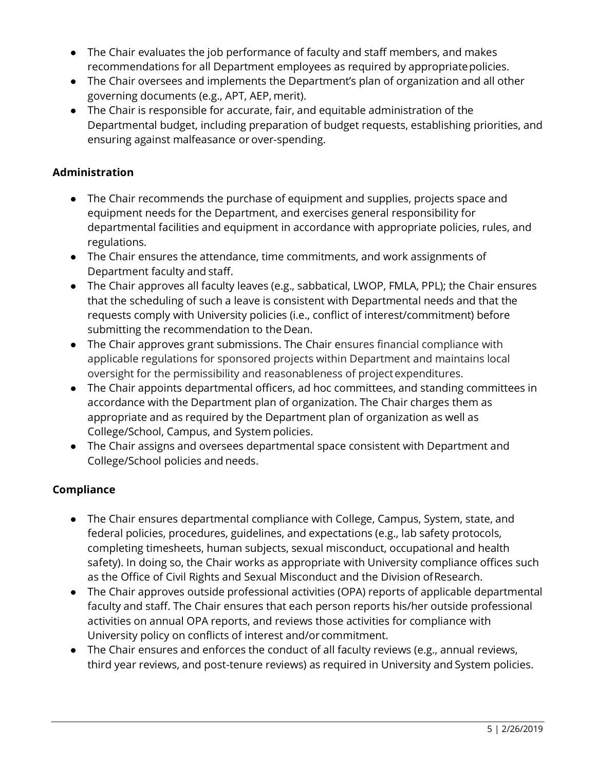- The Chair evaluates the job performance of faculty and staff members, and makes recommendations for all Department employees as required by appropriate policies.
- The Chair oversees and implements the Department's plan of organization and all other governing documents (e.g., APT, AEP, merit).
- The Chair is responsible for accurate, fair, and equitable administration of the Departmental budget, including preparation of budget requests, establishing priorities, and ensuring against malfeasance or over-spending.

### **Administration**

- The Chair recommends the purchase of equipment and supplies, projects space and equipment needs for the Department, and exercises general responsibility for departmental facilities and equipment in accordance with appropriate policies, rules, and regulations.
- The Chair ensures the attendance, time commitments, and work assignments of Department faculty and staff.
- The Chair approves all faculty leaves (e.g., sabbatical, LWOP, FMLA, PPL); the Chair ensures that the scheduling of such a leave is consistent with Departmental needs and that the requests comply with University policies (i.e., conflict of interest/commitment) before submitting the recommendation to the Dean.
- The Chair approves grant submissions. The Chair ensures financial compliance with applicable regulations for sponsored projects within Department and maintains local oversight for the permissibility and reasonableness of projectexpenditures.
- The Chair appoints departmental officers, ad hoc committees, and standing committees in accordance with the Department plan of organization. The Chair charges them as appropriate and as required by the Department plan of organization as well as College/School, Campus, and System policies.
- The Chair assigns and oversees departmental space consistent with Department and College/School policies and needs.

## **Compliance**

- The Chair ensures departmental compliance with College, Campus, System, state, and federal policies, procedures, guidelines, and expectations (e.g., lab safety protocols, completing timesheets, human subjects, sexual misconduct, occupational and health safety). In doing so, the Chair works as appropriate with University compliance offices such as the Office of Civil Rights and Sexual Misconduct and the Division ofResearch.
- The Chair approves outside professional activities (OPA) reports of applicable departmental faculty and staff. The Chair ensures that each person reports his/her outside professional activities on annual OPA reports, and reviews those activities for compliance with University policy on conflicts of interest and/or commitment.
- The Chair ensures and enforces the conduct of all faculty reviews (e.g., annual reviews, third year reviews, and post-tenure reviews) as required in University and System policies.